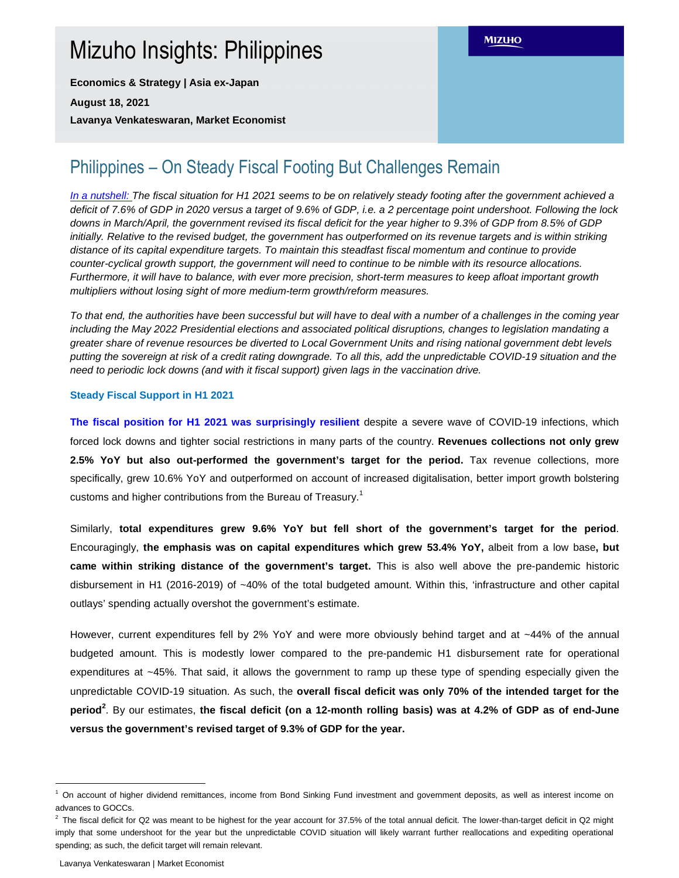# Mizuho Insights: Philippines

**Economics & Strategy | Asia ex-Japan** 

**August 18, 2021** 

**Lavanya Venkateswaran, Market Economist** 

# Philippines – On Steady Fiscal Footing But Challenges Remain

In a nutshell: The fiscal situation for H1 2021 seems to be on relatively steady footing after the government achieved a deficit of 7.6% of GDP in 2020 versus a target of 9.6% of GDP, i.e. a 2 percentage point undershoot. Following the lock downs in March/April, the government revised its fiscal deficit for the year higher to 9.3% of GDP from 8.5% of GDP initially. Relative to the revised budget, the government has outperformed on its revenue targets and is within striking distance of its capital expenditure targets. To maintain this steadfast fiscal momentum and continue to provide counter-cyclical growth support, the government will need to continue to be nimble with its resource allocations. Furthermore, it will have to balance, with ever more precision, short-term measures to keep afloat important growth multipliers without losing sight of more medium-term growth/reform measures.

To that end, the authorities have been successful but will have to deal with a number of a challenges in the coming year including the May 2022 Presidential elections and associated political disruptions, changes to legislation mandating a greater share of revenue resources be diverted to Local Government Units and rising national government debt levels putting the sovereign at risk of a credit rating downgrade. To all this, add the unpredictable COVID-19 situation and the need to periodic lock downs (and with it fiscal support) given lags in the vaccination drive.

## **Steady Fiscal Support in H1 2021**

**The fiscal position for H1 2021 was surprisingly resilient** despite a severe wave of COVID-19 infections, which forced lock downs and tighter social restrictions in many parts of the country. **Revenues collections not only grew 2.5% YoY but also out-performed the government's target for the period.** Tax revenue collections, more specifically, grew 10.6% YoY and outperformed on account of increased digitalisation, better import growth bolstering customs and higher contributions from the Bureau of Treasury.<sup>1</sup>

Similarly, **total expenditures grew 9.6% YoY but fell short of the government's target for the period**. Encouragingly, **the emphasis was on capital expenditures which grew 53.4% YoY,** albeit from a low base**, but came within striking distance of the government's target.** This is also well above the pre-pandemic historic disbursement in H1 (2016-2019) of ~40% of the total budgeted amount. Within this, 'infrastructure and other capital outlays' spending actually overshot the government's estimate.

However, current expenditures fell by 2% YoY and were more obviously behind target and at ~44% of the annual budgeted amount. This is modestly lower compared to the pre-pandemic H1 disbursement rate for operational expenditures at ~45%. That said, it allows the government to ramp up these type of spending especially given the unpredictable COVID-19 situation. As such, the **overall fiscal deficit was only 70% of the intended target for the period<sup>2</sup>** . By our estimates, **the fiscal deficit (on a 12-month rolling basis) was at 4.2% of GDP as of end-June versus the government's revised target of 9.3% of GDP for the year.** 

Lavanya Venkateswaran | Market Economist

 $\overline{a}$ 

<sup>1</sup> On account of higher dividend remittances, income from Bond Sinking Fund investment and government deposits, as well as interest income on advances to GOCCs.

 $^2$  The fiscal deficit for Q2 was meant to be highest for the year account for 37.5% of the total annual deficit. The lower-than-target deficit in Q2 might imply that some undershoot for the year but the unpredictable COVID situation will likely warrant further reallocations and expediting operational spending; as such, the deficit target will remain relevant.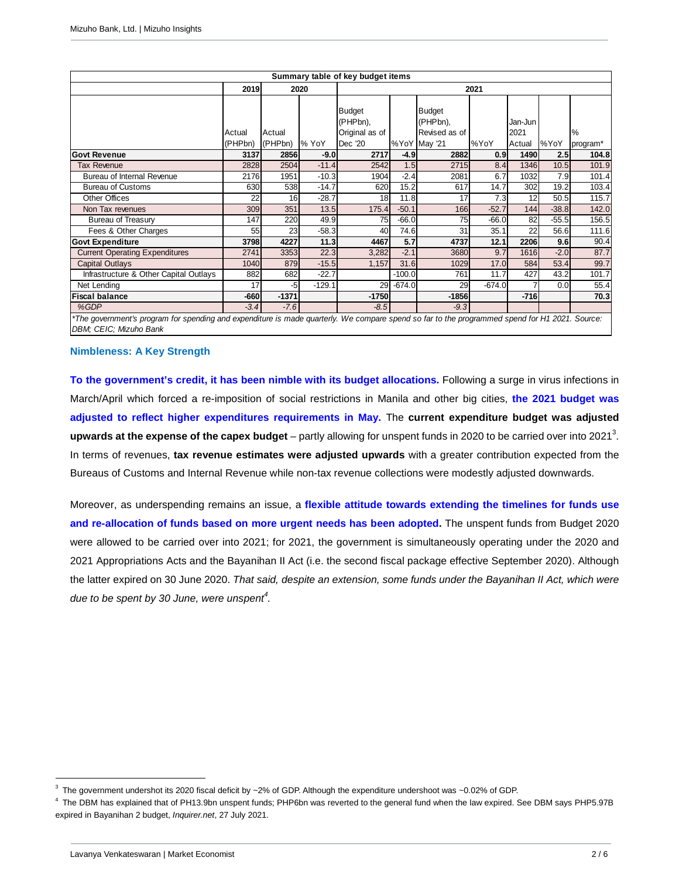| Summary table of key budget items                                                                                                              |                   |                   |          |                                                               |          |                                                            |          |                           |         |                  |
|------------------------------------------------------------------------------------------------------------------------------------------------|-------------------|-------------------|----------|---------------------------------------------------------------|----------|------------------------------------------------------------|----------|---------------------------|---------|------------------|
|                                                                                                                                                | 2019<br>2020      |                   |          | 2021                                                          |          |                                                            |          |                           |         |                  |
|                                                                                                                                                | Actual<br>(PHPbn) | Actual<br>(PHPbn) | % YoY    | <b>Budget</b><br>(PHPbn),<br>Original as of<br><b>Dec</b> '20 |          | <b>Budget</b><br>(PHPbn),<br>Revised as of<br>%YoY May '21 | %YoY     | Jan-Jun<br>2021<br>Actual | %YoY    | $\%$<br>program* |
| <b>Govt Revenue</b>                                                                                                                            | 3137              | 2856              | $-9.0$   | 2717                                                          | $-4.9$   | 2882                                                       | 0.9      | 1490                      | 2.5     | 104.8            |
| Tax Revenue                                                                                                                                    | 2828              | 2504              | $-11.4$  | 2542                                                          | 1.5      | 2715                                                       | 8.4      | 1346                      | 10.5    | 101.9            |
| Bureau of Internal Revenue                                                                                                                     | 2176              | 1951              | $-10.3$  | 1904                                                          | $-2.4$   | 2081                                                       | 6.7      | 1032                      | 7.9     | 101.4            |
| <b>Bureau of Customs</b>                                                                                                                       | 630               | 538               | $-14.7$  | 620                                                           | 15.2     | 617                                                        | 14.7     | 302                       | 19.2    | 103.4            |
| <b>Other Offices</b>                                                                                                                           | 22                | 16                | $-28.7$  | 18 <sup>1</sup>                                               | 11.8     | 17                                                         | 7.3      | 12                        | 50.5    | 115.7            |
| Non Tax revenues                                                                                                                               | 309               | 351               | 13.5     | 175.4                                                         | $-50.1$  | 166                                                        | $-52.7$  | 144                       | $-38.8$ | 142.0            |
| Bureau of Treasury                                                                                                                             | 147               | 220               | 49.9     | 75                                                            | $-66.0$  | 75                                                         | $-66.0$  | 82                        | $-55.5$ | 156.5            |
| Fees & Other Charges                                                                                                                           | 55                | 23                | $-58.3$  | 40                                                            | 74.6     | 31                                                         | 35.1     | 22                        | 56.6    | 111.6            |
| <b>Govt Expenditure</b>                                                                                                                        | 3798              | 4227              | 11.3     | 4467                                                          | 5.7      | 4737                                                       | 12.1     | 2206                      | 9.6     | 90.4             |
| <b>Current Operating Expenditures</b>                                                                                                          | 2741              | 3353              | 22.3     | 3,282                                                         | $-2.1$   | 3680                                                       | 9.7      | 1616                      | $-2.0$  | 87.7             |
| <b>Capital Outlays</b>                                                                                                                         | 1040              | 879               | $-15.5$  | 1,157                                                         | 31.6     | 1029                                                       | 17.0     | 584                       | 53.4    | 99.7             |
| Infrastructure & Other Capital Outlays                                                                                                         | 882               | 682               | $-22.7$  |                                                               | $-100.0$ | 761                                                        | 11.7     | 427                       | 43.2    | 101.7            |
| Net Lending                                                                                                                                    | 17                | $-5$              | $-129.1$ | 29                                                            | $-674.0$ | 29                                                         | $-674.0$ |                           | 0.0     | 55.4             |
| <b>Fiscal balance</b>                                                                                                                          | -660              | $-1371$           |          | $-1750$                                                       |          | $-1856$                                                    |          | $-716$                    |         | 70.3             |
| %GDP                                                                                                                                           | $-3.4$            | $-7.6$            |          | $-8.5$                                                        |          | $-9.3$                                                     |          |                           |         |                  |
| *The government's program for spending and expenditure is made quarterly. We compare spend so far to the programmed spend for H1 2021. Source: |                   |                   |          |                                                               |          |                                                            |          |                           |         |                  |

DBM; CEIC; Mizuho Bank

#### **Nimbleness: A Key Strength**

**To the government's credit, it has been nimble with its budget allocations.** Following a surge in virus infections in March/April which forced a re-imposition of social restrictions in Manila and other big cities, **the 2021 budget was adjusted to reflect higher expenditures requirements in May.** The **current expenditure budget was adjusted**  upwards at the expense of the capex budget – partly allowing for unspent funds in 2020 to be carried over into 2021<sup>3</sup>. In terms of revenues, **tax revenue estimates were adjusted upwards** with a greater contribution expected from the Bureaus of Customs and Internal Revenue while non-tax revenue collections were modestly adjusted downwards.

Moreover, as underspending remains an issue, a **flexible attitude towards extending the timelines for funds use and re-allocation of funds based on more urgent needs has been adopted.** The unspent funds from Budget 2020 were allowed to be carried over into 2021; for 2021, the government is simultaneously operating under the 2020 and 2021 Appropriations Acts and the Bayanihan II Act (i.e. the second fiscal package effective September 2020). Although the latter expired on 30 June 2020. That said, despite an extension, some funds under the Bayanihan II Act, which were due to be spent by 30 June, were unspent<sup>4</sup>.

 $\overline{a}$ 

 $3$  The government undershot its 2020 fiscal deficit by ~2% of GDP. Although the expenditure undershoot was ~0.02% of GDP.

<sup>&</sup>lt;sup>4</sup> The DBM has explained that of PH13.9bn unspent funds; PHP6bn was reverted to the general fund when the law expired. See DBM says PHP5.97B expired in Bayanihan 2 budget, Inquirer.net, 27 July 2021.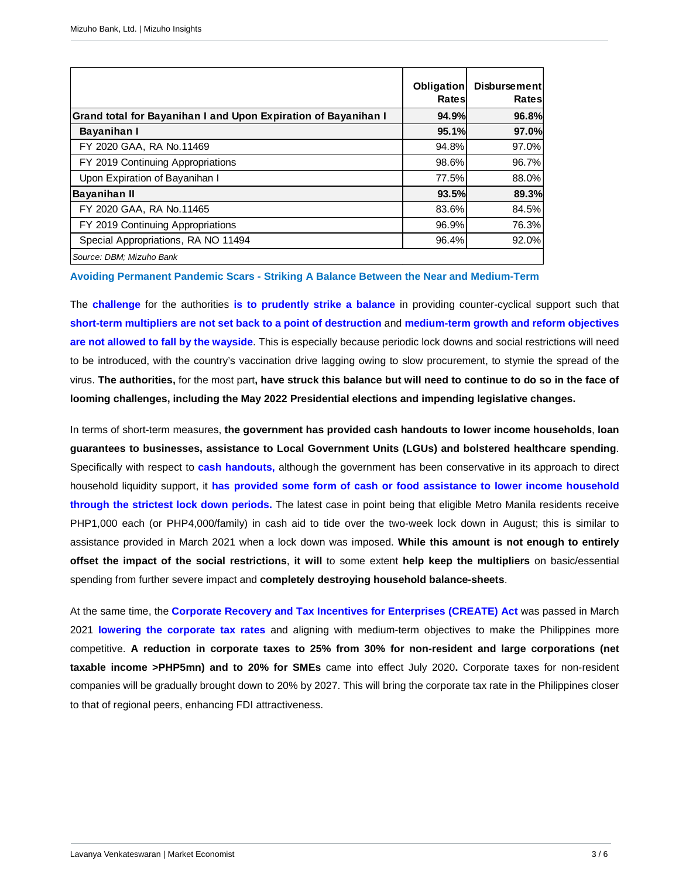|                                                                | Obligation<br>Rates | <b>Disbursementl</b><br>Rates |
|----------------------------------------------------------------|---------------------|-------------------------------|
| Grand total for Bayanihan I and Upon Expiration of Bayanihan I | 94.9%               | 96.8%                         |
| Bayanihan I                                                    | 95.1%               | 97.0%                         |
| FY 2020 GAA, RA No.11469                                       | 94.8%               | 97.0%                         |
| FY 2019 Continuing Appropriations                              | 98.6%               | 96.7%                         |
| Upon Expiration of Bayanihan I                                 | 77.5%               | 88.0%                         |
| <b>Bayanihan II</b>                                            | 93.5%               | 89.3%                         |
| FY 2020 GAA, RA No.11465                                       | 83.6%               | 84.5%                         |
| FY 2019 Continuing Appropriations                              | 96.9%               | 76.3%                         |
| Special Appropriations, RA NO 11494                            | 96.4%               | $92.0\%$                      |
| Source: DBM; Mizuho Bank                                       |                     |                               |

**Avoiding Permanent Pandemic Scars - Striking A Balance Between the Near and Medium-Term** 

The **challenge** for the authorities **is to prudently strike a balance** in providing counter-cyclical support such that **short-term multipliers are not set back to a point of destruction** and **medium-term growth and reform objectives are not allowed to fall by the wayside**. This is especially because periodic lock downs and social restrictions will need to be introduced, with the country's vaccination drive lagging owing to slow procurement, to stymie the spread of the virus. **The authorities,** for the most part**, have struck this balance but will need to continue to do so in the face of looming challenges, including the May 2022 Presidential elections and impending legislative changes.** 

In terms of short-term measures, **the government has provided cash handouts to lower income households**, **loan guarantees to businesses, assistance to Local Government Units (LGUs) and bolstered healthcare spending**. Specifically with respect to **cash handouts,** although the government has been conservative in its approach to direct household liquidity support, it **has provided some form of cash or food assistance to lower income household through the strictest lock down periods.** The latest case in point being that eligible Metro Manila residents receive PHP1,000 each (or PHP4,000/family) in cash aid to tide over the two-week lock down in August; this is similar to assistance provided in March 2021 when a lock down was imposed. **While this amount is not enough to entirely offset the impact of the social restrictions**, **it will** to some extent **help keep the multipliers** on basic/essential spending from further severe impact and **completely destroying household balance-sheets**.

At the same time, the **Corporate Recovery and Tax Incentives for Enterprises (CREATE) Act** was passed in March 2021 **lowering the corporate tax rates** and aligning with medium-term objectives to make the Philippines more competitive. **A reduction in corporate taxes to 25% from 30% for non-resident and large corporations (net taxable income >PHP5mn) and to 20% for SMEs** came into effect July 2020**.** Corporate taxes for non-resident companies will be gradually brought down to 20% by 2027. This will bring the corporate tax rate in the Philippines closer to that of regional peers, enhancing FDI attractiveness.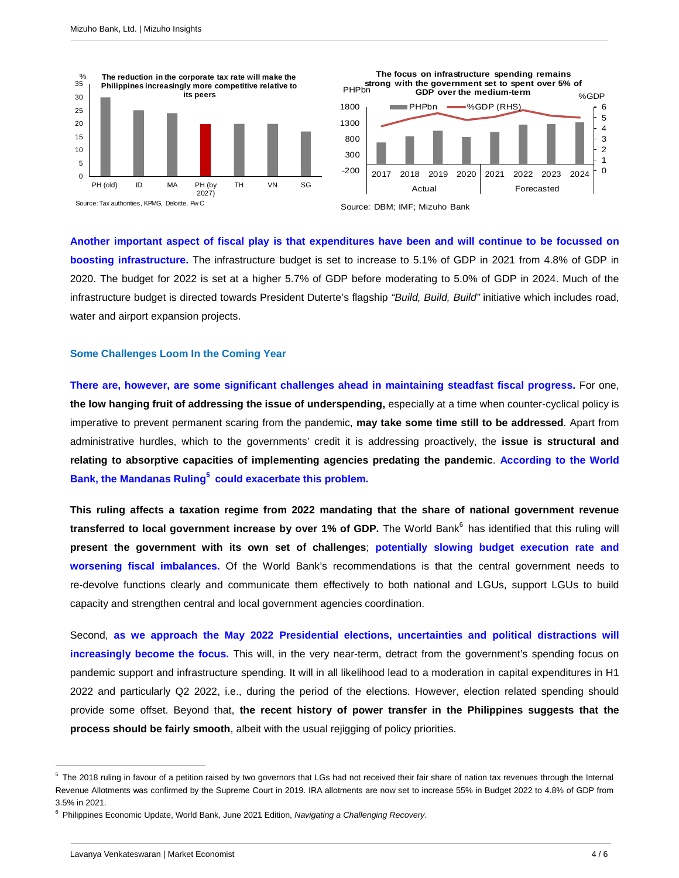



**Another important aspect of fiscal play is that expenditures have been and will continue to be focussed on boosting infrastructure.** The infrastructure budget is set to increase to 5.1% of GDP in 2021 from 4.8% of GDP in 2020. The budget for 2022 is set at a higher 5.7% of GDP before moderating to 5.0% of GDP in 2024. Much of the infrastructure budget is directed towards President Duterte's flagship "Build, Build, Build" initiative which includes road, water and airport expansion projects.

#### **Some Challenges Loom In the Coming Year**

**There are, however, are some significant challenges ahead in maintaining steadfast fiscal progress.** For one, **the low hanging fruit of addressing the issue of underspending,** especially at a time when counter-cyclical policy is imperative to prevent permanent scaring from the pandemic, **may take some time still to be addressed**. Apart from administrative hurdles, which to the governments' credit it is addressing proactively, the **issue is structural and relating to absorptive capacities of implementing agencies predating the pandemic**. **According to the World Bank, the Mandanas Ruling<sup>5</sup> could exacerbate this problem.** 

**This ruling affects a taxation regime from 2022 mandating that the share of national government revenue**  transferred to local government increase by over 1% of GDP. The World Bank<sup>6</sup> has identified that this ruling will **present the government with its own set of challenges**; **potentially slowing budget execution rate and worsening fiscal imbalances.** Of the World Bank's recommendations is that the central government needs to re-devolve functions clearly and communicate them effectively to both national and LGUs, support LGUs to build capacity and strengthen central and local government agencies coordination.

Second, **as we approach the May 2022 Presidential elections, uncertainties and political distractions will increasingly become the focus.** This will, in the very near-term, detract from the government's spending focus on pandemic support and infrastructure spending. It will in all likelihood lead to a moderation in capital expenditures in H1 2022 and particularly Q2 2022, i.e., during the period of the elections. However, election related spending should provide some offset. Beyond that, **the recent history of power transfer in the Philippines suggests that the process should be fairly smooth**, albeit with the usual rejigging of policy priorities.

 $\overline{a}$ 

 $5$  The 2018 ruling in favour of a petition raised by two governors that LGs had not received their fair share of nation tax revenues through the Internal Revenue Allotments was confirmed by the Supreme Court in 2019. IRA allotments are now set to increase 55% in Budget 2022 to 4.8% of GDP from 3.5% in 2021.

<sup>&</sup>lt;sup>6</sup> Philippines Economic Update, World Bank, June 2021 Edition, Navigating a Challenging Recovery.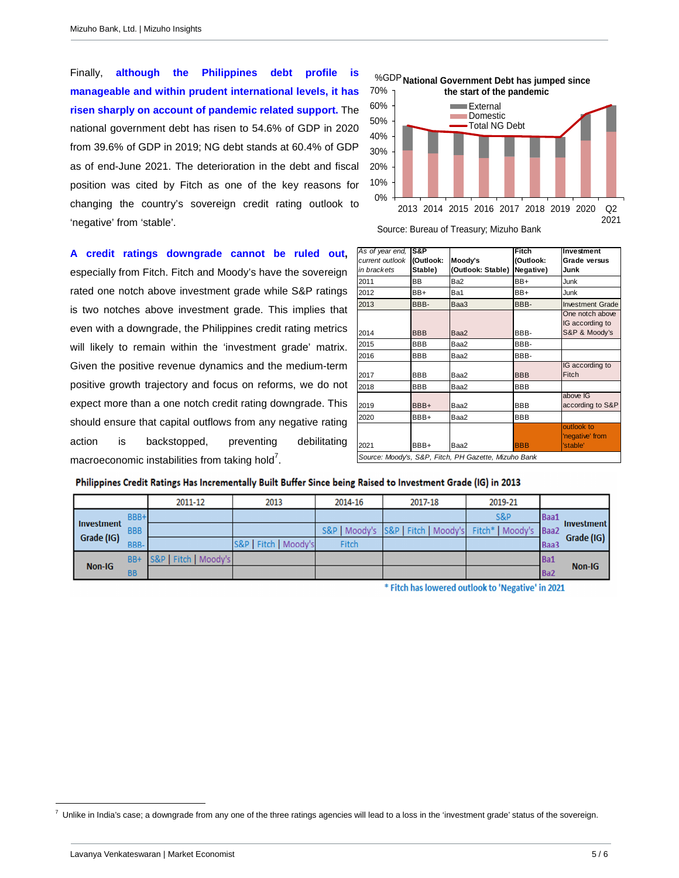Finally, **although the Philippines debt profile is manageable and within prudent international levels, it has risen sharply on account of pandemic related support.** The national government debt has risen to 54.6% of GDP in 2020 from 39.6% of GDP in 2019; NG debt stands at 60.4% of GDP as of end-June 2021. The deterioration in the debt and fiscal position was cited by Fitch as one of the key reasons for changing the country's sovereign credit rating outlook to 'negative' from 'stable'.

**A credit ratings downgrade cannot be ruled out,**  especially from Fitch. Fitch and Moody's have the sovereign rated one notch above investment grade while S&P ratings is two notches above investment grade. This implies that even with a downgrade, the Philippines credit rating metrics will likely to remain within the 'investment grade' matrix. Given the positive revenue dynamics and the medium-term positive growth trajectory and focus on reforms, we do not expect more than a one notch credit rating downgrade. This should ensure that capital outflows from any negative rating action is backstopped, preventing debilitating macroeconomic instabilities from taking hold<sup>7</sup>.



Source: Bureau of Treasury; Mizuho Bank

| As of year end,<br>current outlook<br>in brackets | S&P<br>(Outlook:<br>Stable) | Moody's<br>(Outlook: Stable)                         | Fitch<br>(Outlook:<br>Negative) | Investment<br>Grade versus<br>Junk                  |
|---------------------------------------------------|-----------------------------|------------------------------------------------------|---------------------------------|-----------------------------------------------------|
| 2011                                              | ВB                          | Ba2                                                  | BB+                             | Junk                                                |
| 2012                                              | BB+                         | Ba1                                                  | BB+                             | Junk                                                |
| 2013                                              | BBB-                        | Baa3                                                 | BBB-                            | <b>Investment Grade</b>                             |
| 2014                                              | <b>BBB</b>                  | Baa2                                                 | BBB-                            | One notch above<br>IG according to<br>S&P & Moody's |
| 2015                                              | <b>BBB</b>                  | Baa2                                                 | BBB-                            |                                                     |
| 2016                                              | <b>BBB</b>                  | Baa2                                                 | BBB-                            |                                                     |
| 2017                                              | <b>BBB</b>                  | Baa2                                                 | <b>BBB</b>                      | IG according to<br>Fitch                            |
| 2018                                              | <b>BBB</b>                  | Baa2                                                 | <b>BBB</b>                      |                                                     |
| 2019                                              | BBB+                        | Baa2                                                 | <b>BBB</b>                      | above IG<br>according to S&P                        |
| 2020                                              | BBB+                        | Baa2                                                 | <b>BBB</b>                      |                                                     |
| 2021                                              | BBB+                        | Baa2                                                 | <b>BBB</b>                      | outlook to<br>'negative' from<br>'stable'           |
|                                                   |                             | Source: Moody's, S&P, Fitch, PH Gazette, Mizuho Bank |                                 |                                                     |

## Philippines Credit Ratings Has Incrementally Built Buffer Since being Raised to Investment Grade (IG) in 2013

|               |            | 2011-12               | 2013                  | 2014-16 | 2017-18                                                         | 2019-21        |             |                   |
|---------------|------------|-----------------------|-----------------------|---------|-----------------------------------------------------------------|----------------|-------------|-------------------|
|               | BBB+       |                       |                       |         |                                                                 | <b>S&amp;P</b> | <b>Baa1</b> |                   |
| Investment    | <b>BBB</b> |                       |                       |         | S&P   Moody's   S&P   Fitch   Moody's   Fitch*   Moody's   Baa2 |                |             | <b>Investment</b> |
| Grade (IG)    | BBB-       |                       | S&P   Fitch   Moody's | Fitch   |                                                                 |                | <b>Baa3</b> | Grade (IG)        |
| <b>Non-IG</b> | BB+        | S&P   Fitch   Moody's |                       |         |                                                                 |                | Ba1         |                   |
|               | <b>BB</b>  |                       |                       |         |                                                                 |                | Ba2         | <b>Non-IG</b>     |

\* Fitch has lowered outlook to 'Negative' in 2021

L 7

Unlike in India's case; a downgrade from any one of the three ratings agencies will lead to a loss in the 'investment grade' status of the sovereign.